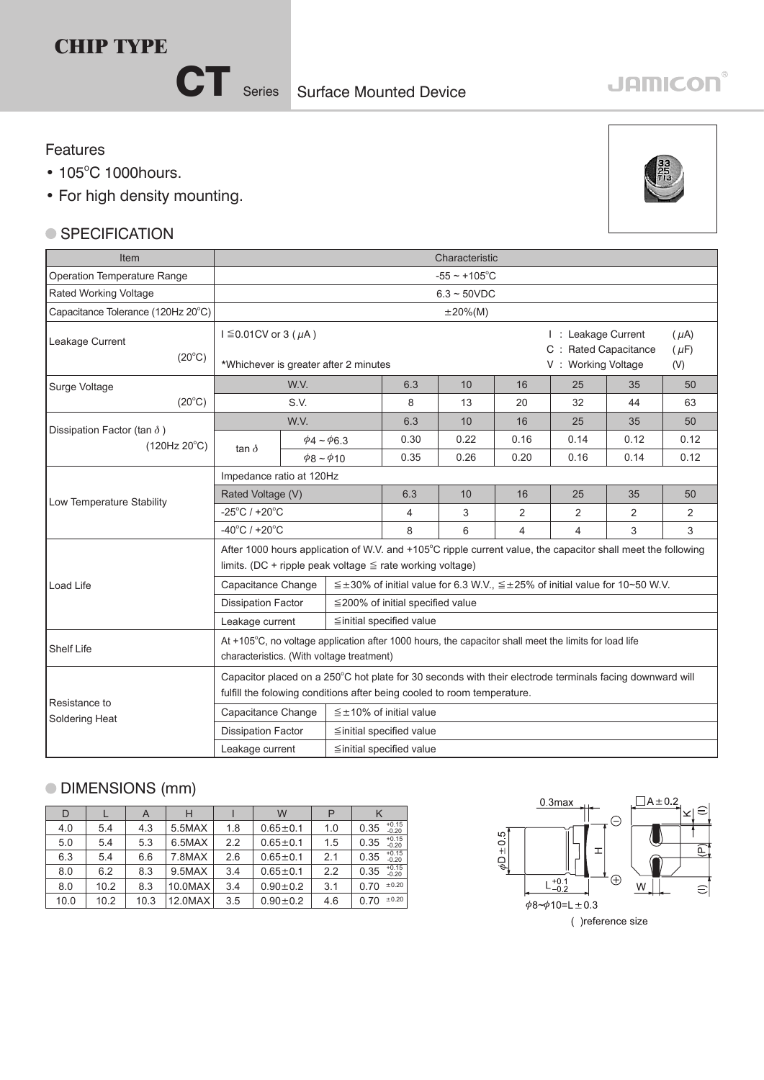## **CHIP TYPE**

CT<sub>Series</sub>

#### Features

- 105°C 1000hours.
- For high density mounting.

#### ● SPECIFICATION



| Item                                                        | Characteristic                                                                                                                                                                      |                       |  |                                                                                                |      |                                                                   |      |                               |      |  |  |
|-------------------------------------------------------------|-------------------------------------------------------------------------------------------------------------------------------------------------------------------------------------|-----------------------|--|------------------------------------------------------------------------------------------------|------|-------------------------------------------------------------------|------|-------------------------------|------|--|--|
| Operation Temperature Range                                 | $-55 \sim +105$ °C                                                                                                                                                                  |                       |  |                                                                                                |      |                                                                   |      |                               |      |  |  |
| Rated Working Voltage                                       | $6.3 - 50VDC$                                                                                                                                                                       |                       |  |                                                                                                |      |                                                                   |      |                               |      |  |  |
| Capacitance Tolerance (120Hz 20°C)                          | $\pm 20\%$ (M)                                                                                                                                                                      |                       |  |                                                                                                |      |                                                                   |      |                               |      |  |  |
| Leakage Current<br>$(20^{\circ}C)$                          | $I \leq 0.01$ CV or 3 ( $\mu$ A)<br>*Whichever is greater after 2 minutes                                                                                                           |                       |  |                                                                                                |      | I: Leakage Current<br>C : Rated Capacitance<br>V: Working Voltage |      | $(\mu A)$<br>$(\mu F)$<br>(V) |      |  |  |
| Surge Voltage                                               |                                                                                                                                                                                     | W.V.                  |  | 6.3                                                                                            | 10   | 16                                                                | 25   | 35                            | 50   |  |  |
| $(20^{\circ}C)$                                             | S.V.                                                                                                                                                                                |                       |  | 8                                                                                              | 13   | 20                                                                | 32   | 44                            | 63   |  |  |
|                                                             | W.V.                                                                                                                                                                                |                       |  | 6.3                                                                                            | 10   | 16                                                                | 25   | 35                            | 50   |  |  |
| Dissipation Factor (tan $\delta$ )<br>$(120Hz 20^{\circ}C)$ |                                                                                                                                                                                     | $\phi$ 4 ~ $\phi$ 6.3 |  | 0.30                                                                                           | 0.22 | 0.16                                                              | 0.14 | 0.12                          | 0.12 |  |  |
|                                                             | tan $\delta$                                                                                                                                                                        | $\phi$ 8 ~ $\phi$ 10  |  | 0.35                                                                                           | 0.26 | 0.20                                                              | 0.16 | 0.14                          | 0.12 |  |  |
|                                                             | Impedance ratio at 120Hz                                                                                                                                                            |                       |  |                                                                                                |      |                                                                   |      |                               |      |  |  |
| Low Temperature Stability                                   | Rated Voltage (V)                                                                                                                                                                   |                       |  | 6.3                                                                                            | 10   | 16                                                                | 25   | 35                            | 50   |  |  |
|                                                             | $-25^{\circ}$ C / +20 $^{\circ}$ C                                                                                                                                                  |                       |  | 4                                                                                              | 3    | 2                                                                 | 2    | 2                             | 2    |  |  |
|                                                             | $-40^{\circ}$ C / +20 $^{\circ}$ C                                                                                                                                                  |                       |  | 8                                                                                              | 6    | 4                                                                 | 4    | 3                             | 3    |  |  |
|                                                             | After 1000 hours application of W.V. and +105°C ripple current value, the capacitor shall meet the following<br>limits. (DC + ripple peak voltage $\leq$ rate working voltage)      |                       |  |                                                                                                |      |                                                                   |      |                               |      |  |  |
| Load Life                                                   | Capacitance Change                                                                                                                                                                  |                       |  | $\leq \pm 30\%$ of initial value for 6.3 W.V., $\leq \pm 25\%$ of initial value for 10~50 W.V. |      |                                                                   |      |                               |      |  |  |
|                                                             | <b>Dissipation Factor</b>                                                                                                                                                           |                       |  | $\leq$ 200% of initial specified value                                                         |      |                                                                   |      |                               |      |  |  |
|                                                             | Leakage current                                                                                                                                                                     |                       |  | ≦initial specified value                                                                       |      |                                                                   |      |                               |      |  |  |
| l Shelf Life                                                | At +105°C, no voltage application after 1000 hours, the capacitor shall meet the limits for load life<br>characteristics. (With voltage treatment)                                  |                       |  |                                                                                                |      |                                                                   |      |                               |      |  |  |
|                                                             | Capacitor placed on a 250°C hot plate for 30 seconds with their electrode terminals facing downward will<br>fulfill the folowing conditions after being cooled to room temperature. |                       |  |                                                                                                |      |                                                                   |      |                               |      |  |  |
| Resistance to<br>Soldering Heat                             | Capacitance Change                                                                                                                                                                  |                       |  | $\leq \pm 10\%$ of initial value                                                               |      |                                                                   |      |                               |      |  |  |
|                                                             | <b>Dissipation Factor</b><br>≦initial specified value                                                                                                                               |                       |  |                                                                                                |      |                                                                   |      |                               |      |  |  |
|                                                             | ≦initial specified value<br>Leakage current                                                                                                                                         |                       |  |                                                                                                |      |                                                                   |      |                               |      |  |  |

### DIMENSIONS (mm)

| D    |      | A    | н       |     | W              |     |                            |
|------|------|------|---------|-----|----------------|-----|----------------------------|
| 4.0  | 5.4  | 4.3  | 5.5MAX  | 1.8 | $0.65 + 0.1$   | 1.0 | $+0.15$<br>0.35<br>$-0.20$ |
| 5.0  | 5.4  | 5.3  | 6.5MAX  | 2.2 | $0.65 + 0.1$   | 1.5 | $+0.15$<br>0.35<br>$-0.20$ |
| 6.3  | 5.4  | 6.6  | 7.8MAX  | 2.6 | $0.65 \pm 0.1$ | 2.1 | $+0.15$<br>0.35<br>$-0.20$ |
| 8.0  | 6.2  | 8.3  | 9.5MAX  | 3.4 | $0.65 \pm 0.1$ | 2.2 | $+0.15$<br>$-0.20$<br>0.35 |
| 8.0  | 10.2 | 8.3  | 10.0MAX | 3.4 | $0.90 \pm 0.2$ | 3.1 | ±0.20<br>0.70              |
| 10.0 | 10.2 | 10.3 | 12.0MAX | 3.5 | $0.90 \pm 0.2$ | 4.6 | ±0.20<br>0.70              |



# **JAMICON®**